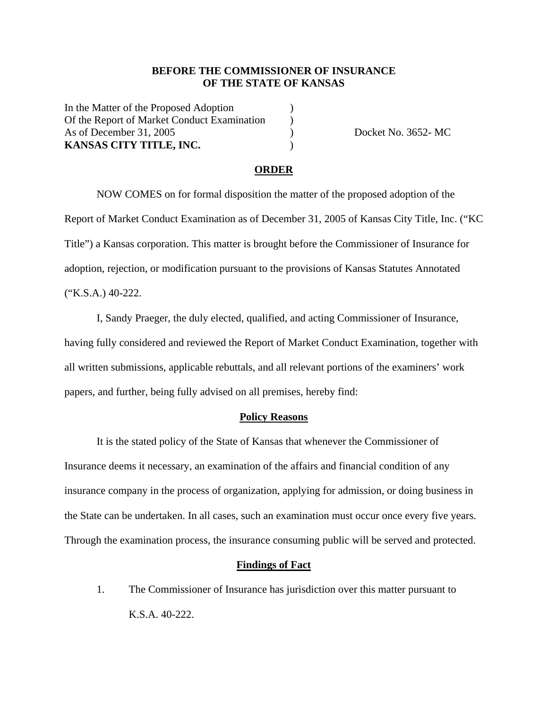### **BEFORE THE COMMISSIONER OF INSURANCE OF THE STATE OF KANSAS**

In the Matter of the Proposed Adoption ) Of the Report of Market Conduct Examination ) As of December 31, 2005 (a) Docket No. 3652- MC **KANSAS CITY TITLE, INC.** )

#### **ORDER**

 NOW COMES on for formal disposition the matter of the proposed adoption of the Report of Market Conduct Examination as of December 31, 2005 of Kansas City Title, Inc. ("KC Title") a Kansas corporation. This matter is brought before the Commissioner of Insurance for adoption, rejection, or modification pursuant to the provisions of Kansas Statutes Annotated ("K.S.A.) 40-222.

 I, Sandy Praeger, the duly elected, qualified, and acting Commissioner of Insurance, having fully considered and reviewed the Report of Market Conduct Examination, together with all written submissions, applicable rebuttals, and all relevant portions of the examiners' work papers, and further, being fully advised on all premises, hereby find:

#### **Policy Reasons**

 It is the stated policy of the State of Kansas that whenever the Commissioner of Insurance deems it necessary, an examination of the affairs and financial condition of any insurance company in the process of organization, applying for admission, or doing business in the State can be undertaken. In all cases, such an examination must occur once every five years. Through the examination process, the insurance consuming public will be served and protected.

#### **Findings of Fact**

1. The Commissioner of Insurance has jurisdiction over this matter pursuant to K.S.A. 40-222.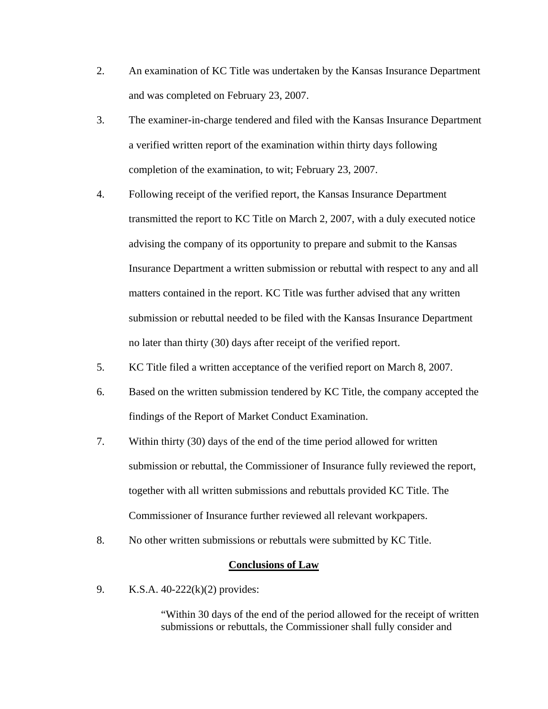- 2. An examination of KC Title was undertaken by the Kansas Insurance Department and was completed on February 23, 2007.
- 3. The examiner-in-charge tendered and filed with the Kansas Insurance Department a verified written report of the examination within thirty days following completion of the examination, to wit; February 23, 2007.
- 4. Following receipt of the verified report, the Kansas Insurance Department transmitted the report to KC Title on March 2, 2007, with a duly executed notice advising the company of its opportunity to prepare and submit to the Kansas Insurance Department a written submission or rebuttal with respect to any and all matters contained in the report. KC Title was further advised that any written submission or rebuttal needed to be filed with the Kansas Insurance Department no later than thirty (30) days after receipt of the verified report.
- 5. KC Title filed a written acceptance of the verified report on March 8, 2007.
- 6. Based on the written submission tendered by KC Title, the company accepted the findings of the Report of Market Conduct Examination.
- 7. Within thirty (30) days of the end of the time period allowed for written submission or rebuttal, the Commissioner of Insurance fully reviewed the report, together with all written submissions and rebuttals provided KC Title. The Commissioner of Insurance further reviewed all relevant workpapers.
- 8. No other written submissions or rebuttals were submitted by KC Title.

### **Conclusions of Law**

9. K.S.A. 40-222(k)(2) provides:

"Within 30 days of the end of the period allowed for the receipt of written submissions or rebuttals, the Commissioner shall fully consider and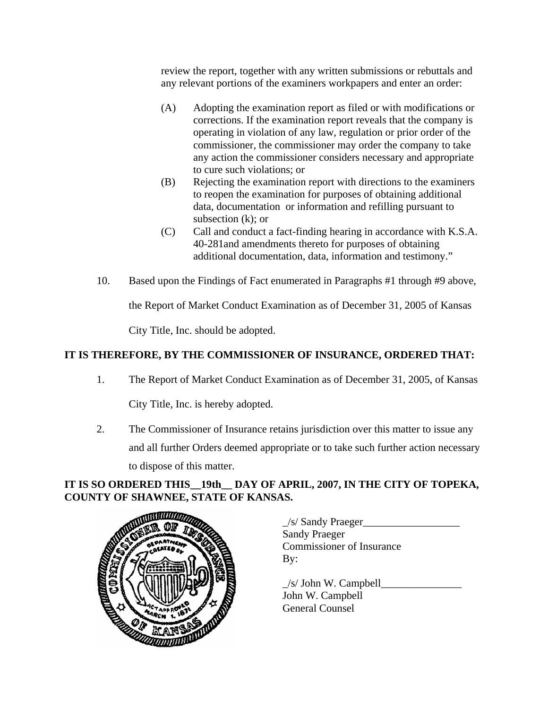review the report, together with any written submissions or rebuttals and any relevant portions of the examiners workpapers and enter an order:

- (A) Adopting the examination report as filed or with modifications or corrections. If the examination report reveals that the company is operating in violation of any law, regulation or prior order of the commissioner, the commissioner may order the company to take any action the commissioner considers necessary and appropriate to cure such violations; or
- (B) Rejecting the examination report with directions to the examiners to reopen the examination for purposes of obtaining additional data, documentation or information and refilling pursuant to subsection (k); or
- (C) Call and conduct a fact-finding hearing in accordance with K.S.A. 40-281and amendments thereto for purposes of obtaining additional documentation, data, information and testimony."
- 10. Based upon the Findings of Fact enumerated in Paragraphs #1 through #9 above,

the Report of Market Conduct Examination as of December 31, 2005 of Kansas

City Title, Inc. should be adopted.

# **IT IS THEREFORE, BY THE COMMISSIONER OF INSURANCE, ORDERED THAT:**

1. The Report of Market Conduct Examination as of December 31, 2005, of Kansas

City Title, Inc. is hereby adopted.

2. The Commissioner of Insurance retains jurisdiction over this matter to issue any and all further Orders deemed appropriate or to take such further action necessary to dispose of this matter.

## **IT IS SO ORDERED THIS\_\_19th\_\_ DAY OF APRIL, 2007, IN THE CITY OF TOPEKA, COUNTY OF SHAWNEE, STATE OF KANSAS.**



 $\angle$ s/ Sandy Praeger $\angle$ Sandy Praeger Commissioner of Insurance By:

 $\angle$ s/ John W. Campbell $\angle$  John W. Campbell General Counsel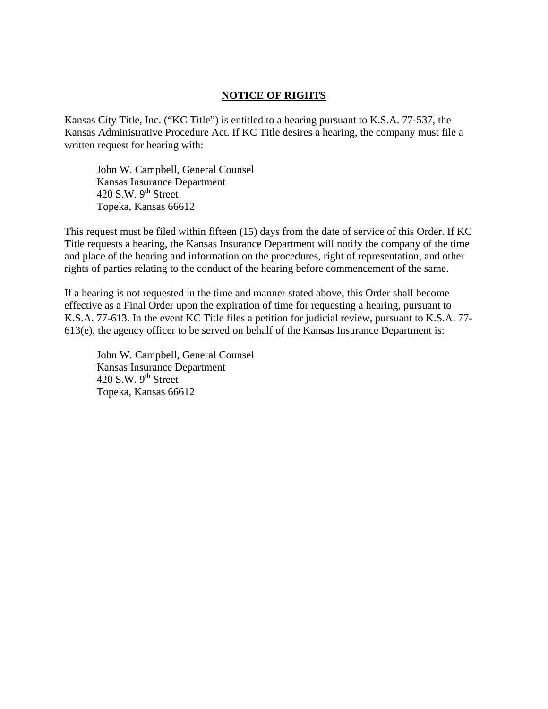### **NOTICE OF RIGHTS**

Kansas City Title, Inc. ("KC Title") is entitled to a hearing pursuant to K.S.A. 77-537, the Kansas Administrative Procedure Act. If KC Title desires a hearing, the company must file a written request for hearing with:

 John W. Campbell, General Counsel Kansas Insurance Department 420 S.W.  $9<sup>th</sup>$  Street Topeka, Kansas 66612

This request must be filed within fifteen (15) days from the date of service of this Order. If KC Title requests a hearing, the Kansas Insurance Department will notify the company of the time and place of the hearing and information on the procedures, right of representation, and other rights of parties relating to the conduct of the hearing before commencement of the same.

If a hearing is not requested in the time and manner stated above, this Order shall become effective as a Final Order upon the expiration of time for requesting a hearing, pursuant to K.S.A. 77-613. In the event KC Title files a petition for judicial review, pursuant to K.S.A. 77- 613(e), the agency officer to be served on behalf of the Kansas Insurance Department is:

 John W. Campbell, General Counsel Kansas Insurance Department  $420$  S.W.  $9<sup>th</sup>$  Street Topeka, Kansas 66612